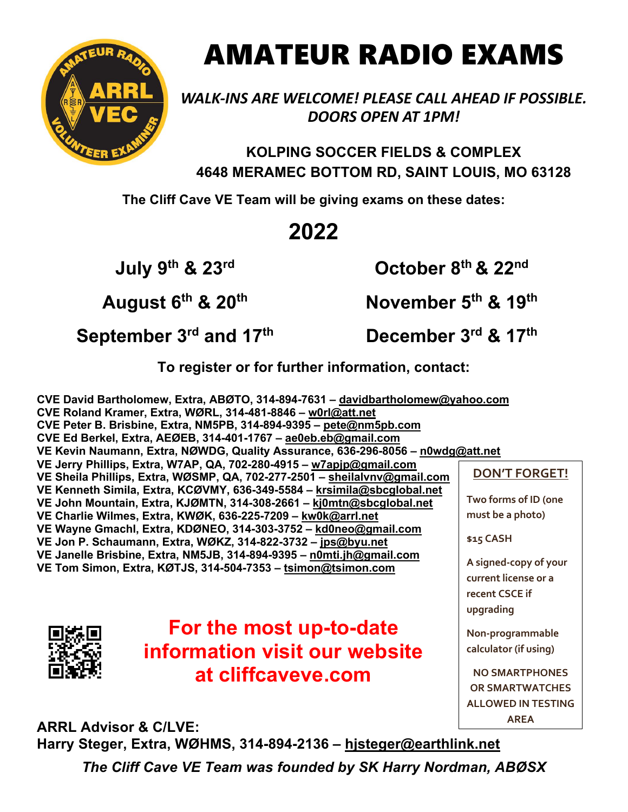

## AMATEUR RADIO EXAMS

*WALK-INS ARE WELCOME! PLEASE CALL AHEAD IF POSSIBLE. DOORS OPEN AT 1PM!*

**KOLPING SOCCER FIELDS & COMPLEX 4648 MERAMEC BOTTOM RD, SAINT LOUIS, MO 63128**

**The Cliff Cave VE Team will be giving exams on these dates:**

## **2022**

**July 9th & 23rd**

**August 6th & 20th**

**October 8th & 22nd**

**November 5th & 19th**

**September 3rd and 17th**

**December 3rd & 17th**

**To register or for further information, contact:**

**CVE David Bartholomew, Extra, ABØTO, 314-894-7631 – davidbartholomew@yahoo.com CVE Roland Kramer, Extra, WØRL, 314-481-8846 – w0rl@att.net CVE Peter B. Brisbine, Extra, NM5PB, 314-894-9395 – pete@nm5pb.com CVE Ed Berkel, Extra, AEØEB, 314-401-1767 – ae0eb.eb@gmail.com VE Kevin Naumann, Extra, NØWDG, Quality Assurance, 636-296-8056 – n0wdg@att.net VE Jerry Phillips, Extra, W7AP, QA, 702-280-4915 – w7apjp@gmail.com VE Sheila Phillips, Extra, WØSMP, QA, 702-277-2501 – sheilalvnv@gmail.com VE Kenneth Simila, Extra, KCØVMY, 636-349-5584 – krsimila@sbcglobal.net VE John Mountain, Extra, KJØMTN, 314-308-2661 – kj0mtn@sbcglobal.net VE Charlie Wilmes, Extra, KWØK, 636-225-7209 – kw0k@arrl.net VE Wayne Gmachl, Extra, KDØNEO, 314-303-3752 – kd0neo@gmail.com VE Jon P. Schaumann, Extra, WØKZ, 314-822-3732 – jps@byu.net VE Janelle Brisbine, Extra, NM5JB, 314-894-9395 – n0mti.jh@gmail.com VE Tom Simon, Extra, KØTJS, 314-504-7353 – tsimon@tsimon.com DON'T FORGET! Two forms of ID (one must be a photo) \$15 CASH A signed-copy of your current license or a recent CSCE if upgrading**

> **Non-programmable calculator (if using)**

**NO SMARTPHONES OR SMARTWATCHES ALLOWED IN TESTING AREA**

**For the most up-to-date information visit our website at cliffcaveve.com**

**ARRL Advisor & C/LVE: Harry Steger, Extra, WØHMS, 314-894-2136 – hjsteger@earthlink.net**

*The Cliff Cave VE Team was founded by SK Harry Nordman, ABØSX*